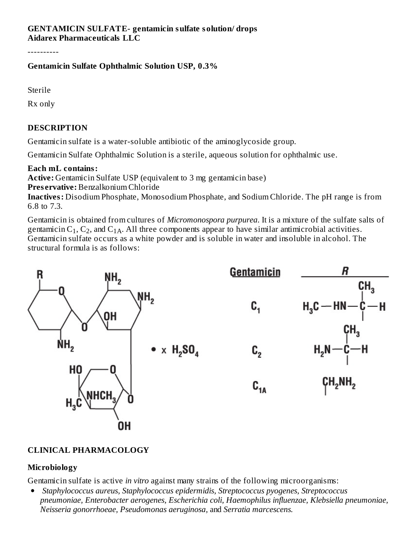#### **GENTAMICIN SULFATE- gentamicin sulfate solution/ drops Aidarex Pharmaceuticals LLC**

----------

# **Gentamicin Sulfate Ophthalmic Solution USP, 0.3%**

Sterile

Rx only

# **DESCRIPTION**

Gentamicin sulfate is a water-soluble antibiotic of the aminoglycoside group.

Gentamicin Sulfate Ophthalmic Solution is a sterile, aqueous solution for ophthalmic use.

## **Each mL contains:**

**Active:** Gentamicin Sulfate USP (equivalent to 3 mg gentamicin base) **Pres ervative:** Benzalkonium Chloride **Inactives:** Disodium Phosphate, Monosodium Phosphate, and Sodium Chloride. The pH range is from

6.8 to 7.3.

Gentamicin is obtained from cultures of *Micromonospora purpurea*. It is a mixture of the sulfate salts of gentamicin  $C_1$ ,  $C_2$ , and  $C_{1A}$ . All three components appear to have similar antimicrobial activities. Gentamicin sulfate occurs as a white powder and is soluble in water and insoluble in alcohol. The structural formula is as follows:



# **CLINICAL PHARMACOLOGY**

# **Microbiology**

Gentamicin sulfate is active *in vitro* against many strains of the following microorganisms:

*Staphylococcus aureus, Staphylococcus epidermidis, Streptococcus pyogenes, Streptococcus*  $\bullet$ *pneumoniae, Enterobacter aerogenes, Escherichia coli, Haemophilus influenzae, Klebsiella pneumoniae, Neisseria gonorrhoeae, Pseudomonas aeruginosa,* and *Serratia marcescens.*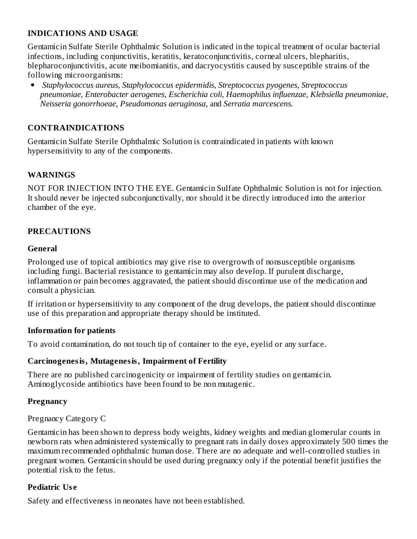# **INDICATIONS AND USAGE**

Gentamicin Sulfate Sterile Ophthalmic Solution is indicated in the topical treatment of ocular bacterial infections, including conjunctivitis, keratitis, keratoconjunctivitis, corneal ulcers, blepharitis, blepharoconjunctivitis, acute meibomianitis, and dacryocystitis caused by susceptible strains of the following microorganisms:

 $\bullet$ *Staphylococcus aureus, Staphylococcus epidermidis, Streptococcus pyogenes, Streptococcus pneumoniae, Enterobacter aerogenes, Escherichia coli, Haemophilus influenzae, Klebsiella pneumoniae, Neisseria gonorrhoeae, Pseudomonas aeruginosa,* and *Serratia marcescens.*

# **CONTRAINDICATIONS**

Gentamicin Sulfate Sterile Ophthalmic Solution is contraindicated in patients with known hypersensitivity to any of the components.

## **WARNINGS**

NOT FOR INJECTION INTO THE EYE. Gentamicin Sulfate Ophthalmic Solution is not for injection. It should never be injected subconjunctivally, nor should it be directly introduced into the anterior chamber of the eye.

#### **PRECAUTIONS**

#### **General**

Prolonged use of topical antibiotics may give rise to overgrowth of nonsusceptible organisms including fungi. Bacterial resistance to gentamicin may also develop. If purulent discharge, inflammation or pain becomes aggravated, the patient should discontinue use of the medication and consult a physician.

If irritation or hypersensitivity to any component of the drug develops, the patient should discontinue use of this preparation and appropriate therapy should be instituted.

#### **Information for patients**

To avoid contamination, do not touch tip of container to the eye, eyelid or any surface.

#### **Carcinogenesis, Mutagenesis, Impairment of Fertility**

There are no published carcinogenicity or impairment of fertility studies on gentamicin. Aminoglycoside antibiotics have been found to be non mutagenic.

#### **Pregnancy**

Pregnancy Category C

Gentamicin has been shown to depress body weights, kidney weights and median glomerular counts in newborn rats when administered systemically to pregnant rats in daily doses approximately 500 times the maximum recommended ophthalmic human dose. There are no adequate and well-controlled studies in pregnant women. Gentamicin should be used during pregnancy only if the potential benefit justifies the potential risk to the fetus.

#### **Pediatric Us e**

Safety and effectiveness in neonates have not been established.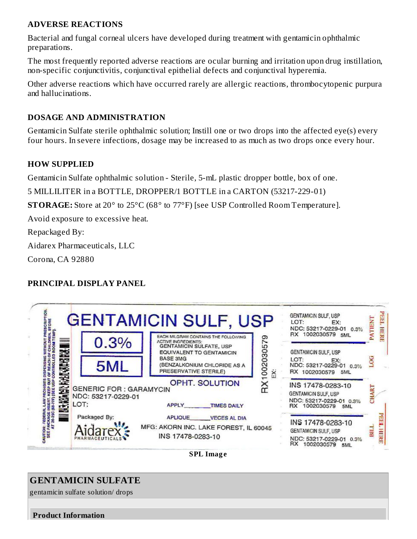# **ADVERSE REACTIONS**

Bacterial and fungal corneal ulcers have developed during treatment with gentamicin ophthalmic preparations.

The most frequently reported adverse reactions are ocular burning and irritation upon drug instillation, non-specific conjunctivitis, conjunctival epithelial defects and conjunctival hyperemia.

Other adverse reactions which have occurred rarely are allergic reactions, thrombocytopenic purpura and hallucinations.

## **DOSAGE AND ADMINISTRATION**

Gentamicin Sulfate sterile ophthalmic solution; Instill one or two drops into the affected eye(s) every four hours. In severe infections, dosage may be increased to as much as two drops once every hour.

## **HOW SUPPLIED**

Gentamicin Sulfate ophthalmic solution - Sterile, 5-mL plastic dropper bottle, box of one.

5 MILLILITER in a BOTTLE, DROPPER/1 BOTTLE in a CARTON (53217-229-01)

**STORAGE:** Store at 20° to 25°C (68° to 77°F) [see USP Controlled Room Temperature].

Avoid exposure to excessive heat.

Repackaged By:

Aidarex Pharmaceuticals, LLC

Corona, CA 92880

# **PRINCIPAL DISPLAY PANEL**

|                 |                                                             | <b>GENTAMICIN SULF, USP</b><br>EACH MILGRAM CONTAINS THE FOLLOWING<br><b>ACTIVE INGREDIENTS:</b>                                            | GENTAMICIN SULF, USP<br>LOT:<br>EX:<br>NDC: 53217-0229-01 0.3%<br>RX 1002030579 5ML          | E<br><b>INHIN</b><br>, неке |
|-----------------|-------------------------------------------------------------|---------------------------------------------------------------------------------------------------------------------------------------------|----------------------------------------------------------------------------------------------|-----------------------------|
| <b>NATHRAIN</b> | 0.3%<br>5ML                                                 | 002030579<br>GENTAMICIN SULFATE, USP<br>EQUIVALENT TO GENTAMICIN<br><b>BASE 3MG</b><br>(BENZALKONIUM CHLORIDE AS A<br>PRESERVATIVE STERILE) | GENTAMICIN SULF, USP<br>LOT:<br>EX:<br>NDC: 53217-0229-01 0.3%<br>RX 1002030579<br>5ML       |                             |
|                 | <b>GENERIC FOR: GARAMYCIN</b><br>NDC: 53217-0229-01<br>LOT: | <b>OPHT. SOLUTION</b><br>APPLY<br><b>TIMES DAILY</b>                                                                                        | INS 17478-0283-10<br>GENTAMICIN SULF, USP<br>NDC: 53217-0229-01 0.3%<br>RX 1002030579 5ML    |                             |
|                 | Packaged By:                                                | APLIQUE VECES AL DIA<br>MFG: AKORN INC. LAKE FOREST, IL 60045<br>INS 17478-0283-10                                                          | INS 17478-0283-10<br>GENTAMICIN SULF, USP<br>NDC: 53217-0229-01 0.3%<br>RX 1002030579<br>5ML | <b>HERE</b>                 |

**SPL Imag e**

# **GENTAMICIN SULFATE**

gentamicin sulfate solution/ drops

**Product Information**